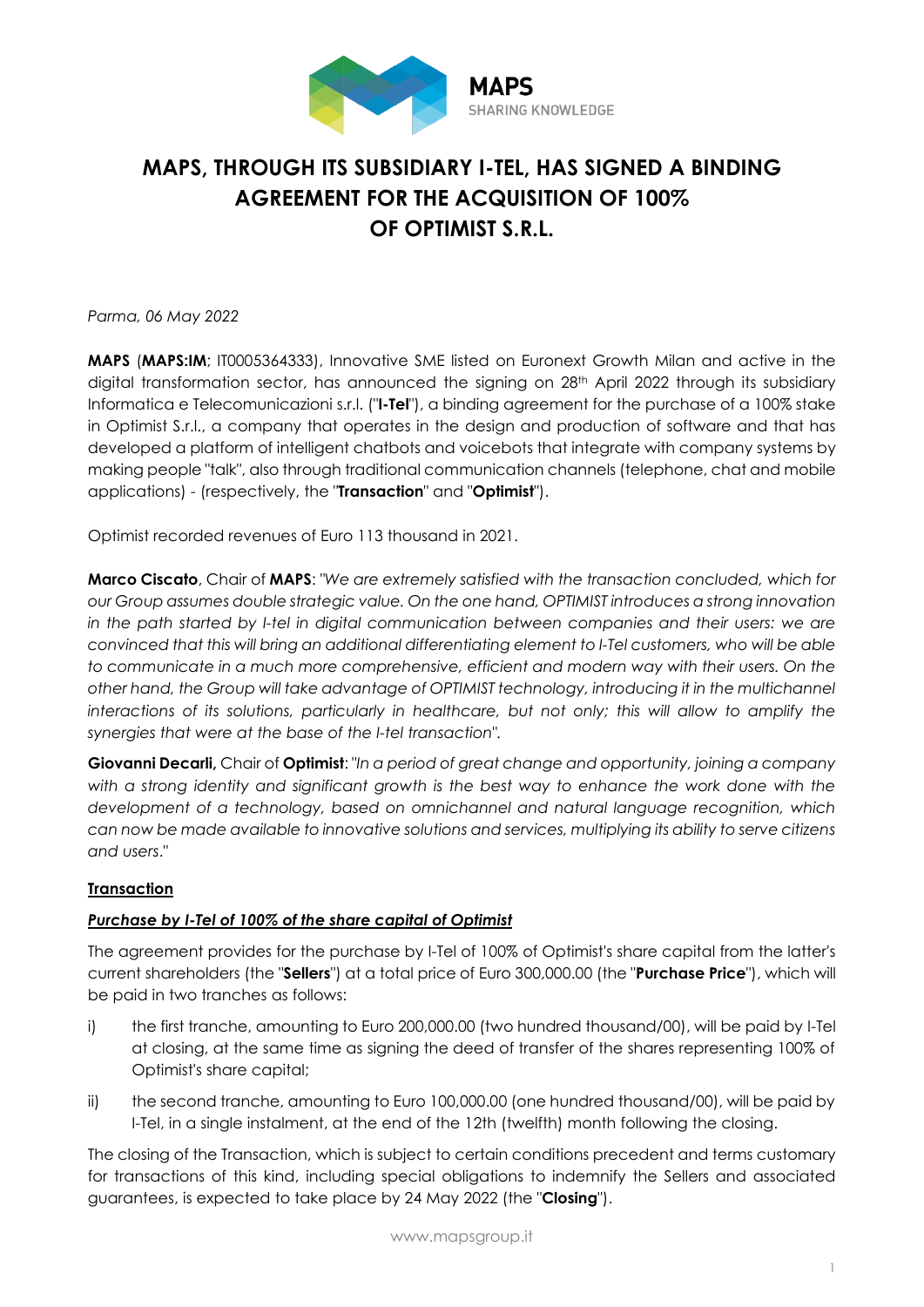

# **MAPS, THROUGH ITS SUBSIDIARY I-TEL, HAS SIGNED A BINDING AGREEMENT FOR THE ACQUISITION OF 100% OF OPTIMIST S.R.L.**

*Parma, 06 May 2022*

**MAPS** (**MAPS:IM**; IT0005364333), Innovative SME listed on Euronext Growth Milan and active in the digital transformation sector, has announced the signing on 28<sup>th</sup> April 2022 through its subsidiary Informatica e Telecomunicazioni s.r.l. ("**I-Tel**"), a binding agreement for the purchase of a 100% stake in Optimist S.r.l., a company that operates in the design and production of software and that has developed a platform of intelligent chatbots and voicebots that integrate with company systems by making people "talk", also through traditional communication channels (telephone, chat and mobile applications) - (respectively, the "**Transaction**" and "**Optimist**").

Optimist recorded revenues of Euro 113 thousand in 2021.

**Marco Ciscato**, Chair of **MAPS**: *"We are extremely satisfied with the transaction concluded, which for our Group assumes double strategic value. On the one hand, OPTIMIST introduces a strong innovation in the path started by I-tel in digital communication between companies and their users: we are convinced that this will bring an additional differentiating element to I-Tel customers, who will be able to communicate in a much more comprehensive, efficient and modern way with their users. On the other hand, the Group will take advantage of OPTIMIST technology, introducing it in the multichannel interactions of its solutions, particularly in healthcare, but not only; this will allow to amplify the synergies that were at the base of the I-tel transaction*"*.*

**Giovanni Decarli,** Chair of **Optimist**: "*In a period of great change and opportunity, joining a company with a strong identity and significant growth is the best way to enhance the work done with the development of a technology, based on omnichannel and natural language recognition, which can now be made available to innovative solutions and services, multiplying its ability to serve citizens and users*."

## **Transaction**

## *Purchase by I-Tel of 100% of the share capital of Optimist*

The agreement provides for the purchase by I-Tel of 100% of Optimist's share capital from the latter's current shareholders (the "**Sellers**") at a total price of Euro 300,000.00 (the "**Purchase Price**"), which will be paid in two tranches as follows:

- i) the first tranche, amounting to Euro 200,000.00 (two hundred thousand/00), will be paid by I-Tel at closing, at the same time as signing the deed of transfer of the shares representing 100% of Optimist's share capital;
- ii) the second tranche, amounting to Euro 100,000.00 (one hundred thousand/00), will be paid by I-Tel, in a single instalment, at the end of the 12th (twelfth) month following the closing.

The closing of the Transaction, which is subject to certain conditions precedent and terms customary for transactions of this kind, including special obligations to indemnify the Sellers and associated guarantees, is expected to take place by 24 May 2022 (the "**Closing**").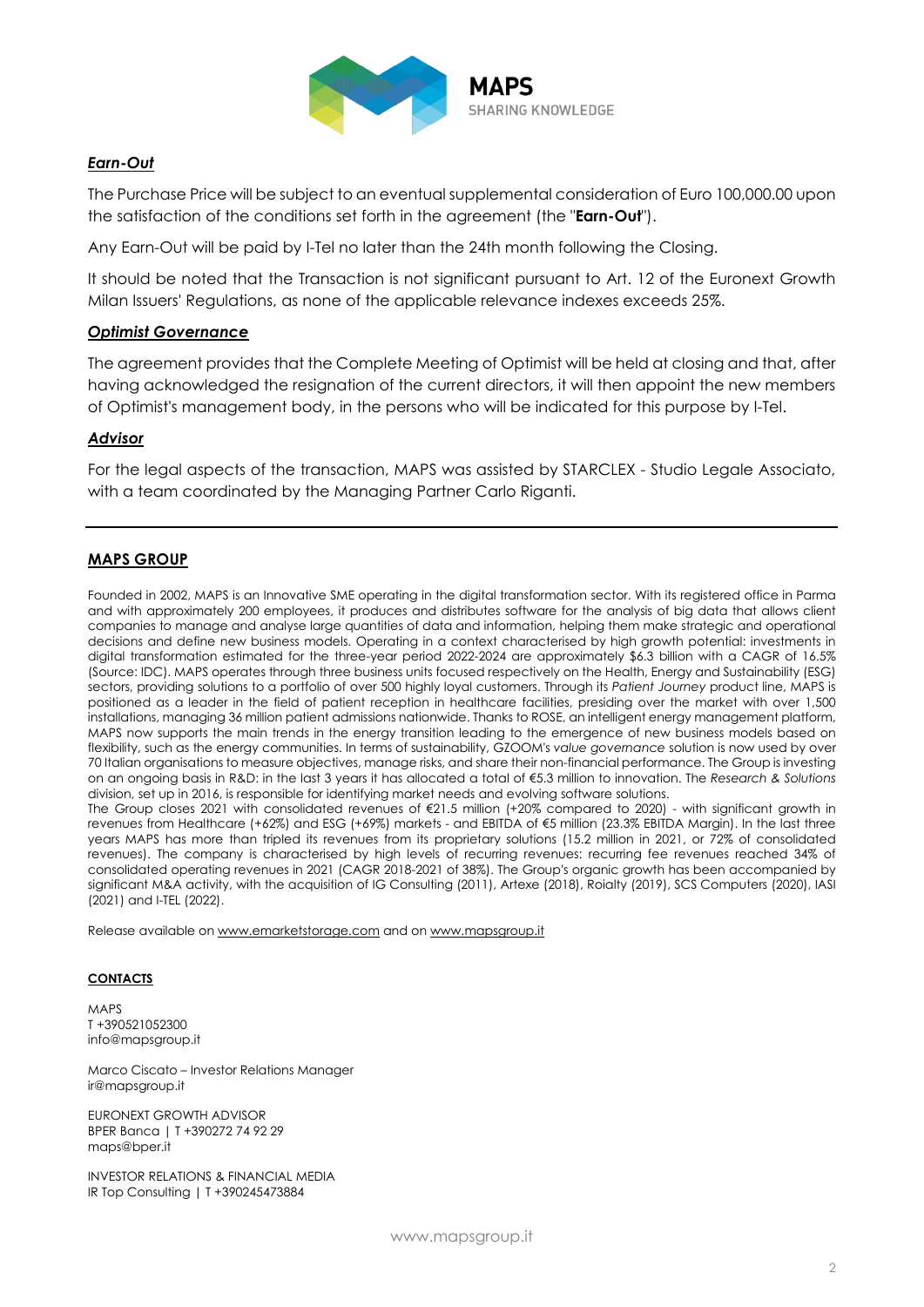

### *Earn-Out*

The Purchase Price will be subject to an eventual supplemental consideration of Euro 100,000.00 upon the satisfaction of the conditions set forth in the agreement (the "**Earn-Out**").

Any Earn-Out will be paid by I-Tel no later than the 24th month following the Closing.

It should be noted that the Transaction is not significant pursuant to Art. 12 of the Euronext Growth Milan Issuers' Regulations, as none of the applicable relevance indexes exceeds 25%.

## *Optimist Governance*

The agreement provides that the Complete Meeting of Optimist will be held at closing and that, after having acknowledged the resignation of the current directors, it will then appoint the new members of Optimist's management body, in the persons who will be indicated for this purpose by I-Tel.

#### *Advisor*

For the legal aspects of the transaction, MAPS was assisted by STARCLEX - Studio Legale Associato, with a team coordinated by the Managing Partner Carlo Riganti.

### **MAPS GROUP**

Founded in 2002, MAPS is an Innovative SME operating in the digital transformation sector. With its registered office in Parma and with approximately 200 employees, it produces and distributes software for the analysis of big data that allows client companies to manage and analyse large quantities of data and information, helping them make strategic and operational decisions and define new business models. Operating in a context characterised by high growth potential: investments in digital transformation estimated for the three-year period 2022-2024 are approximately \$6.3 billion with a CAGR of 16.5% (Source: IDC). MAPS operates through three business units focused respectively on the Health, Energy and Sustainability (ESG) sectors, providing solutions to a portfolio of over 500 highly loyal customers. Through its *Patient Journey* product line, MAPS is positioned as a leader in the field of patient reception in healthcare facilities, presiding over the market with over 1,500 installations, managing 36 million patient admissions nationwide. Thanks to ROSE, an intelligent energy management platform, MAPS now supports the main trends in the energy transition leading to the emergence of new business models based on flexibility, such as the energy communities. In terms of sustainability, GZOOM's *value governance* solution is now used by over 70 Italian organisations to measure objectives, manage risks, and share their non-financial performance. The Group is investing on an ongoing basis in R&D: in the last 3 years it has allocated a total of €5.3 million to innovation. The *Research & Solutions* division, set up in 2016, is responsible for identifying market needs and evolving software solutions.

The Group closes 2021 with consolidated revenues of €21.5 million (+20% compared to 2020) - with significant growth in revenues from Healthcare (+62%) and ESG (+69%) markets - and EBITDA of €5 million (23.3% EBITDA Margin). In the last three years MAPS has more than tripled its revenues from its proprietary solutions (15.2 million in 2021, or 72% of consolidated revenues). The company is characterised by high levels of recurring revenues: recurring fee revenues reached 34% of consolidated operating revenues in 2021 (CAGR 2018-2021 of 38%). The Group's organic growth has been accompanied by significant M&A activity, with the acquisition of IG Consulting (2011), Artexe (2018), Roialty (2019), SCS Computers (2020), IASI (2021) and I-TEL (2022).

Release available on www.emarketstorage.com and on [www.mapsgroup.it](http://www.mapsgroup.it/)

#### **CONTACTS**

MAPS T +390521052300 [info@mapsgroup.it](mailto:info@mapsgroup.it)

Marco Ciscato – Investor Relations Manager [ir@mapsgroup.it](mailto:ir@mapsgroup.it)

EURONEXT GROWTH ADVISOR BPER Banca | T +390272 74 92 29 maps@bper.it

INVESTOR RELATIONS & FINANCIAL MEDIA IR Top Consulting | T +390245473884